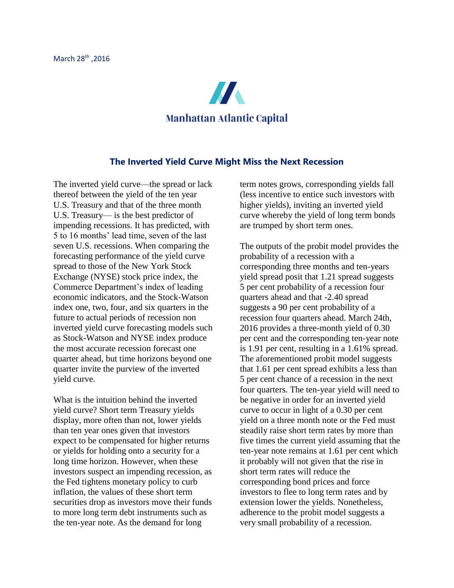

## **The Inverted Yield Curve Might Miss the Next Recession**

The inverted yield curve—the spread or lack thereof between the yield of the ten year U.S. Treasury and that of the three month U.S. Treasury— is the best predictor of impending recessions. It has predicted, with 5 to 16 months' lead time, seven of the last seven U.S. recessions. When comparing the forecasting performance of the yield curve spread to those of the New York Stock Exchange (NYSE) stock price index, the Commerce Department's index of leading economic indicators, and the Stock-Watson index one, two, four, and six quarters in the future to actual periods of recession non inverted yield curve forecasting models such as Stock-Watson and NYSE index produce the most accurate recession forecast one quarter ahead, but time horizons beyond one quarter invite the purview of the inverted yield curve.

What is the intuition behind the inverted yield curve? Short term Treasury yields display, more often than not, lower yields than ten year ones given that investors expect to be compensated for higher returns or yields for holding onto a security for a long time horizon. However, when these investors suspect an impending recession, as the Fed tightens monetary policy to curb inflation, the values of these short term securities drop as investors move their funds to more long term debt instruments such as the ten-year note. As the demand for long

term notes grows, corresponding yields fall (less incentive to entice such investors with higher yields), inviting an inverted yield curve whereby the yield of long term bonds are trumped by short term ones.

The outputs of the probit model provides the probability of a recession with a corresponding three months and ten-years yield spread posit that 1.21 spread suggests 5 per cent probability of a recession four quarters ahead and that -2.40 spread suggests a 90 per cent probability of a recession four quarters ahead. March 24th, 2016 provides a three-month yield of 0.30 per cent and the corresponding ten-year note is 1.91 per cent, resulting in a 1.61% spread. The aforementioned probit model suggests that 1.61 per cent spread exhibits a less than 5 per cent chance of a recession in the next four quarters. The ten-year yield will need to be negative in order for an inverted yield curve to occur in light of a 0.30 per cent yield on a three month note or the Fed must steadily raise short term rates by more than five times the current yield assuming that the ten-year note remains at 1.61 per cent which it probably will not given that the rise in short term rates will reduce the corresponding bond prices and force investors to flee to long term rates and by extension lower the yields. Nonetheless, adherence to the probit model suggests a very small probability of a recession.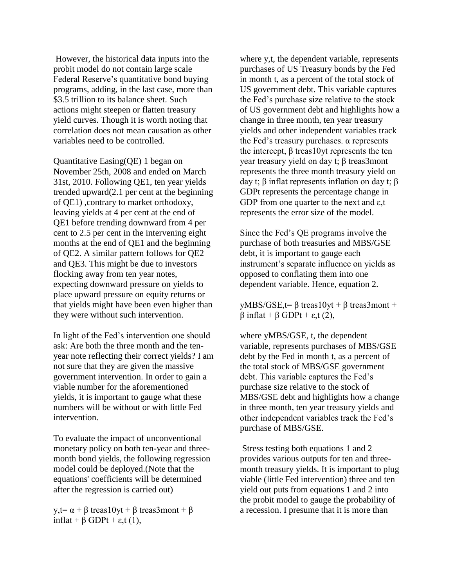However, the historical data inputs into the probit model do not contain large scale Federal Reserve's quantitative bond buying programs, adding, in the last case, more than \$3.5 trillion to its balance sheet. Such actions might steepen or flatten treasury yield curves. Though it is worth noting that correlation does not mean causation as other variables need to be controlled.

Quantitative Easing(QE) 1 began on November 25th, 2008 and ended on March 31st, 2010. Following QE1, ten year yields trended upward(2.1 per cent at the beginning of QE1) ,contrary to market orthodoxy, leaving yields at 4 per cent at the end of QE1 before trending downward from 4 per cent to 2.5 per cent in the intervening eight months at the end of QE1 and the beginning of QE2. A similar pattern follows for QE2 and QE3. This might be due to investors flocking away from ten year notes, expecting downward pressure on yields to place upward pressure on equity returns or that yields might have been even higher than they were without such intervention.

In light of the Fed's intervention one should ask: Are both the three month and the tenyear note reflecting their correct yields? I am not sure that they are given the massive government intervention. In order to gain a viable number for the aforementioned yields, it is important to gauge what these numbers will be without or with little Fed intervention.

To evaluate the impact of unconventional monetary policy on both ten-year and threemonth bond yields, the following regression model could be deployed.(Note that the equations' coefficients will be determined after the regression is carried out)

y,t=  $\alpha + \beta$  treas10yt + β treas3mont + β inflat + β GDPt +  $\varepsilon$ ,t (1),

where y,t, the dependent variable, represents purchases of US Treasury bonds by the Fed in month t, as a percent of the total stock of US government debt. This variable captures the Fed's purchase size relative to the stock of US government debt and highlights how a change in three month, ten year treasury yields and other independent variables track the Fed's treasury purchases. α represents the intercept,  $β$  treas10yt represents the ten year treasury yield on day t; β treas3mont represents the three month treasury yield on day t;  $β$  inflat represents inflation on day t;  $β$ GDPt represents the percentage change in GDP from one quarter to the next and ε,t represents the error size of the model.

Since the Fed's QE programs involve the purchase of both treasuries and MBS/GSE debt, it is important to gauge each instrument's separate influence on yields as opposed to conflating them into one dependent variable. Hence, equation 2.

yMBS/GSE,t=  $\beta$  treas10yt +  $\beta$  treas3mont + β inflat + β GDPt + ε,t (2),

where yMBS/GSE, t, the dependent variable, represents purchases of MBS/GSE debt by the Fed in month t, as a percent of the total stock of MBS/GSE government debt. This variable captures the Fed's purchase size relative to the stock of MBS/GSE debt and highlights how a change in three month, ten year treasury yields and other independent variables track the Fed's purchase of MBS/GSE.

Stress testing both equations 1 and 2 provides various outputs for ten and threemonth treasury yields. It is important to plug viable (little Fed intervention) three and ten yield out puts from equations 1 and 2 into the probit model to gauge the probability of a recession. I presume that it is more than